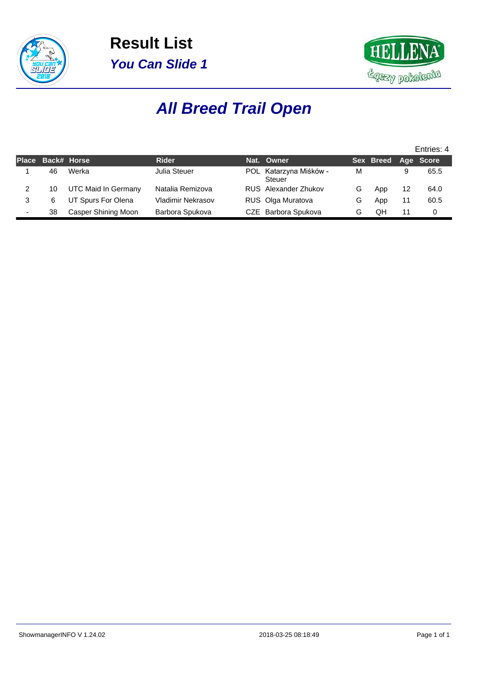



# **All Breed Trail Open**

|                          |    |                     |                   |                                         |   |                     |    | Entries: 4 |
|--------------------------|----|---------------------|-------------------|-----------------------------------------|---|---------------------|----|------------|
| <b>Place</b>             |    | Back# Horse         | <b>Rider</b>      | Nat. Owner                              |   | Sex Breed Age Score |    |            |
|                          | 46 | Werka               | Julia Steuer      | POL Katarzyna Miśków -<br><b>Steuer</b> | М |                     |    | 65.5       |
| 2                        | 10 | UTC Maid In Germany | Natalia Remizova  | RUS Alexander Zhukov                    | G | App                 | 12 | 64.0       |
|                          | 6  | UT Spurs For Olena  | Vladimir Nekrasov | RUS Olga Muratova                       | G | App                 |    | 60.5       |
| $\overline{\phantom{0}}$ | 38 | Casper Shining Moon | Barbora Spukova   | CZE Barbora Spukova                     | G | OΗ                  |    | 0          |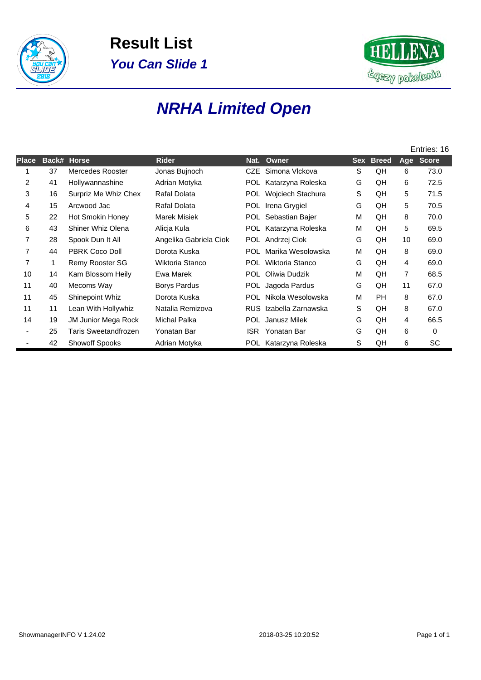



#### **NRHA Limited Open**

|              |              |                        |                        |            |                       |            |              |                | Entries: 16  |
|--------------|--------------|------------------------|------------------------|------------|-----------------------|------------|--------------|----------------|--------------|
| <b>Place</b> | Back#        | <b>Horse</b>           | <b>Rider</b>           | Nat.       | Owner                 | <b>Sex</b> | <b>Breed</b> | Age            | <b>Score</b> |
|              | 37           | Mercedes Rooster       | Jonas Bujnoch          | CZE.       | Simona Vlckova        | S          | QH           | 6              | 73.0         |
| 2            | 41           | Hollywannashine        | Adrian Motyka          | <b>POL</b> | Katarzyna Roleska     | G          | QH           | 6              | 72.5         |
| 3            | 16           | Surpriz Me Whiz Chex   | Rafal Dolata           | POL.       | Wojciech Stachura     | S          | QH           | 5              | 71.5         |
| 4            | 15           | Arcwood Jac            | Rafal Dolata           | POL.       | Irena Grygiel         | G          | QH           | 5              | 70.5         |
| 5            | 22           | Hot Smokin Honey       | Marek Misiek           | <b>POL</b> | Sebastian Bajer       | M          | QH           | 8              | 70.0         |
| 6            | 43           | Shiner Whiz Olena      | Alicja Kula            |            | POL Katarzyna Roleska | M          | QH           | 5              | 69.5         |
| 7            | 28           | Spook Dun It All       | Angelika Gabriela Ciok |            | POL Andrzej Ciok      | G          | QH           | 10             | 69.0         |
| 7            | 44           | <b>PBRK Coco Doll</b>  | Dorota Kuska           | <b>POL</b> | Marika Wesolowska     | M          | QH           | 8              | 69.0         |
| 7            | $\mathbf{1}$ | <b>Remy Rooster SG</b> | Wiktoria Stanco        | <b>POL</b> | Wiktoria Stanco       | G          | QH           | 4              | 69.0         |
| 10           | 14           | Kam Blossom Heily      | Ewa Marek              | POL.       | Oliwia Dudzik         | М          | QH           | $\overline{7}$ | 68.5         |
| 11           | 40           | Mecoms Way             | <b>Borys Pardus</b>    |            | POL Jagoda Pardus     | G          | QH           | 11             | 67.0         |
| 11           | 45           | Shinepoint Whiz        | Dorota Kuska           | POL.       | Nikola Wesolowska     | M          | <b>PH</b>    | 8              | 67.0         |
| 11           | 11           | Lean With Hollywhiz    | Natalia Remizova       | <b>RUS</b> | Izabella Zarnawska    | S          | QH           | 8              | 67.0         |
| 14           | 19           | JM Junior Mega Rock    | <b>Michal Palka</b>    |            | POL Janusz Milek      | G          | QH           | 4              | 66.5         |
|              | 25           | Taris Sweetandfrozen   | Yonatan Bar            | ISR.       | Yonatan Bar           | G          | QH           | 6              | 0            |
|              | 42           | <b>Showoff Spooks</b>  | Adrian Motyka          |            | POL Katarzyna Roleska | S          | QH           | 6              | SC           |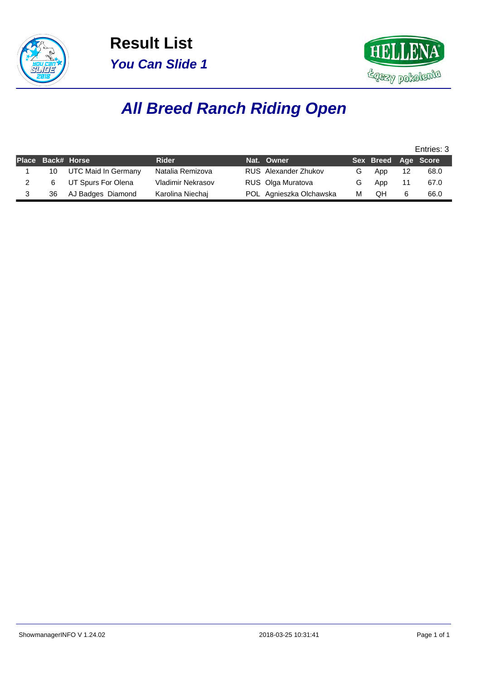



### **All Breed Ranch Riding Open**

|                   |                     |                          |                             |   |                     |    | Entries: 3 |
|-------------------|---------------------|--------------------------|-----------------------------|---|---------------------|----|------------|
| Place Back# Horse |                     | <b>Rider</b>             | Nat. Owner                  |   | Sex Breed Age Score |    |            |
| 10                | UTC Maid In Germany | Natalia Remizova         | <b>RUS</b> Alexander Zhukov | G | App                 | 12 | 68.0       |
|                   | UT Spurs For Olena  | <b>Vladimir Nekrasov</b> | RUS Olga Muratova           | G | App                 |    | 67.0       |
| 36                | AJ Badges Diamond   | Karolina Niechaj         | POL Agnieszka Olchawska     | M | QΗ                  | 6  | 66.0       |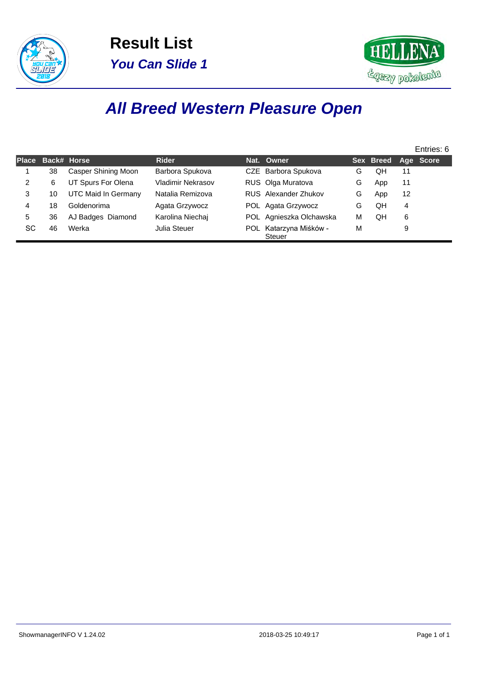



### **All Breed Western Pleasure Open**

|              |    |                            |                   |                                         |   |                            |    | Entries: 6 |
|--------------|----|----------------------------|-------------------|-----------------------------------------|---|----------------------------|----|------------|
| <b>Place</b> |    | Back# Horse                | Rider             | Nat. Owner                              |   | <b>Sex Breed Age Score</b> |    |            |
|              | 38 | <b>Casper Shining Moon</b> | Barbora Spukova   | CZE Barbora Spukova                     | G | QH                         | 11 |            |
| 2            | 6  | UT Spurs For Olena         | Vladimir Nekrasov | RUS Olga Muratova                       | G | App                        | 11 |            |
| 3            | 10 | UTC Maid In Germany        | Natalia Remizova  | RUS Alexander Zhukov                    | G | App                        | 12 |            |
| 4            | 18 | Goldenorima                | Agata Grzywocz    | POL Agata Grzywocz                      | G | QH                         | 4  |            |
| 5            | 36 | AJ Badges Diamond          | Karolina Niechai  | POL Agnieszka Olchawska                 | м | QΗ                         | 6  |            |
| SC           | 46 | Werka                      | Julia Steuer      | POL Katarzyna Miśków -<br><b>Steuer</b> | M |                            | 9  |            |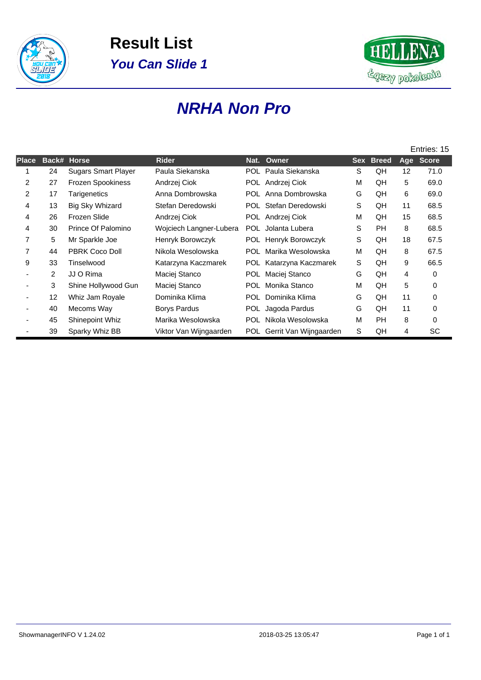



#### **NRHA Non Pro**

|              |                |                            |                         |      |                            |   |           |    | Entries: 15 |
|--------------|----------------|----------------------------|-------------------------|------|----------------------------|---|-----------|----|-------------|
| <b>Place</b> | Back# Horse    |                            | <b>Rider</b>            |      | Nat. Owner                 |   | Sex Breed |    | Age Score   |
|              | 24             | <b>Sugars Smart Player</b> | Paula Siekanska         |      | POL Paula Siekanska        | S | QH        | 12 | 71.0        |
| 2            | 27             | Frozen Spookiness          | Andrzej Ciok            |      | POL Andrzej Ciok           | M | QH        | 5  | 69.0        |
| 2            | 17             | Tarigenetics               | Anna Dombrowska         |      | POL Anna Dombrowska        | G | QH        | 6  | 69.0        |
| 4            | 13             | Big Sky Whizard            | Stefan Deredowski       |      | POL Stefan Deredowski      | S | QH        | 11 | 68.5        |
| 4            | 26             | Frozen Slide               | Andrzej Ciok            |      | POL Andrzej Ciok           | M | QH        | 15 | 68.5        |
| 4            | 30             | Prince Of Palomino         | Wojciech Langner-Lubera | POL. | Jolanta Lubera             | S | <b>PH</b> | 8  | 68.5        |
| 7            | 5              | Mr Sparkle Joe             | Henryk Borowczyk        |      | POL Henryk Borowczyk       | S | QH        | 18 | 67.5        |
| 7            | 44             | <b>PBRK Coco Doll</b>      | Nikola Wesolowska       | POL. | Marika Wesolowska          | M | QH        | 8  | 67.5        |
| 9            | 33             | Tinselwood                 | Katarzyna Kaczmarek     |      | POL Katarzyna Kaczmarek    | S | QH        | 9  | 66.5        |
|              | $\overline{2}$ | JJ O Rima                  | Maciej Stanco           | POL. | Maciej Stanco              | G | QH        | 4  | 0           |
|              | 3              | Shine Hollywood Gun        | Maciej Stanco           | POL. | Monika Stanco              | M | QH        | 5  | 0           |
|              | 12             | Whiz Jam Royale            | Dominika Klima          | POL. | Dominika Klima             | G | QH        | 11 | 0           |
|              | 40             | Mecoms Way                 | Borys Pardus            |      | POL Jagoda Pardus          | G | QH        | 11 | 0           |
|              | 45             | <b>Shinepoint Whiz</b>     | Marika Wesolowska       | POL. | Nikola Wesolowska          | M | PH        | 8  | 0           |
|              | 39             | Sparky Whiz BB             | Viktor Van Wijngaarden  |      | POL Gerrit Van Wijngaarden | S | QH        | 4  | SC          |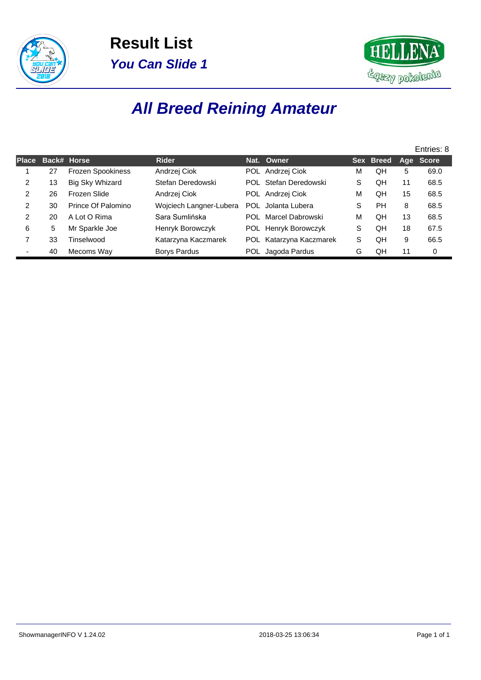



# **All Breed Reining Amateur**

|              |    |                          |                         |                         |   |                  |    | Entries: 8 |
|--------------|----|--------------------------|-------------------------|-------------------------|---|------------------|----|------------|
| <b>Place</b> |    | Back# Horse              | <b>Rider</b>            | Nat. Owner              |   | <b>Sex Breed</b> |    | Age Score  |
|              | 27 | <b>Frozen Spookiness</b> | Andrzej Ciok            | POL Andrzej Ciok        | M | QH               | 5  | 69.0       |
| 2            | 13 | Big Sky Whizard          | Stefan Deredowski       | POL Stefan Deredowski   | S | QH               | 11 | 68.5       |
| 2            | 26 | Frozen Slide             | Andrzej Ciok            | POL Andrzej Ciok        | М | QΗ               | 15 | 68.5       |
| 2            | 30 | Prince Of Palomino       | Wojciech Langner-Lubera | POL Jolanta Lubera      | S | PH               | 8  | 68.5       |
| 2            | 20 | A Lot O Rima             | Sara Sumlińska          | POL Marcel Dabrowski    | М | QH               | 13 | 68.5       |
| 6            | 5  | Mr Sparkle Joe           | Henryk Borowczyk        | POL Henryk Borowczyk    | S | QH               | 18 | 67.5       |
|              | 33 | Tinselwood               | Katarzyna Kaczmarek     | POL Katarzyna Kaczmarek | S | QH               | 9  | 66.5       |
|              | 40 | Mecoms Way               | Borys Pardus            | POL Jagoda Pardus       | G | QH               | 11 | 0          |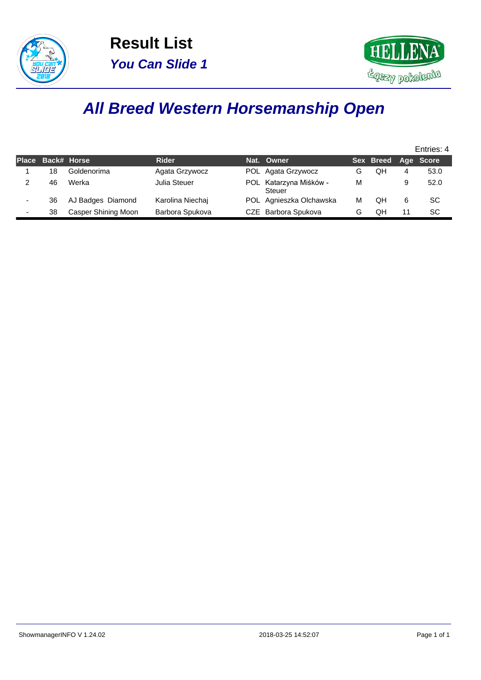



### **All Breed Western Horsemanship Open**

|   |                   |                     |                  |                                         |   |                     |   | Entries: 4 |
|---|-------------------|---------------------|------------------|-----------------------------------------|---|---------------------|---|------------|
|   | Place Back# Horse |                     | <b>Rider</b>     | Nat. Owner                              |   | Sex Breed Age Score |   |            |
|   | 18                | Goldenorima         | Agata Grzywocz   | POL Agata Grzywocz                      | G | QH                  | 4 | 53.0       |
|   | 46                | Werka               | Julia Steuer     | POL Katarzyna Miśków -<br><b>Steuer</b> | M |                     | 9 | 52.0       |
|   | 36                | AJ Badges Diamond   | Karolina Niechai | POL Agnieszka Olchawska                 | м | QH                  | 6 | SC         |
| ۰ | 38                | Casper Shining Moon | Barbora Spukova  | CZE Barbora Spukova                     | G | QH                  |   | SC         |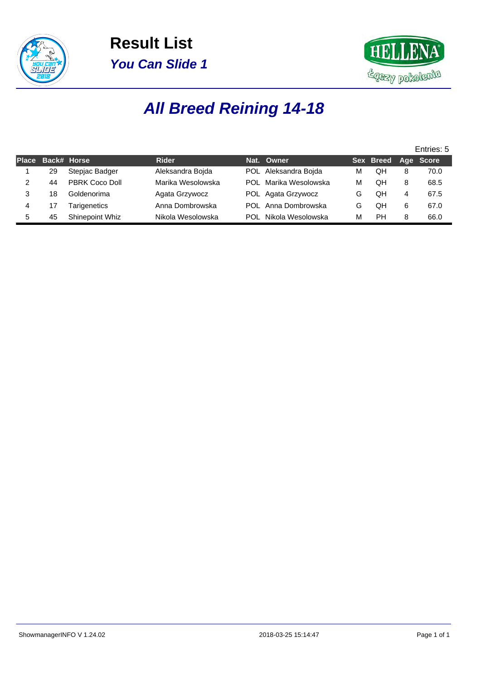



# **All Breed Reining 14-18**

|              |                    |                 |                   |     |                      |   |                     |   | Entries: 5 |
|--------------|--------------------|-----------------|-------------------|-----|----------------------|---|---------------------|---|------------|
| <b>Place</b> | <b>Back# Horse</b> |                 | <b>Rider</b>      |     | Nat. Owner           |   | Sex Breed Age Score |   |            |
|              | 29                 | Stepjac Badger  | Aleksandra Boida  |     | POL Aleksandra Bojda | м | QH                  | 8 | 70.0       |
| 2            | 44                 | PBRK Coco Doll  | Marika Wesolowska | POL | Marika Wesolowska    | м | QH                  | 8 | 68.5       |
|              | 18                 | Goldenorima     | Agata Grzywocz    |     | POL Agata Grzywocz   | G | QΗ                  | 4 | 67.5       |
|              | 17                 | Tarigenetics    | Anna Dombrowska   |     | POL Anna Dombrowska  | G | QH                  | 6 | 67.0       |
| 5.           | 45                 | Shinepoint Whiz | Nikola Wesolowska | POL | Nikola Wesolowska    | м | РH                  | 8 | 66.0       |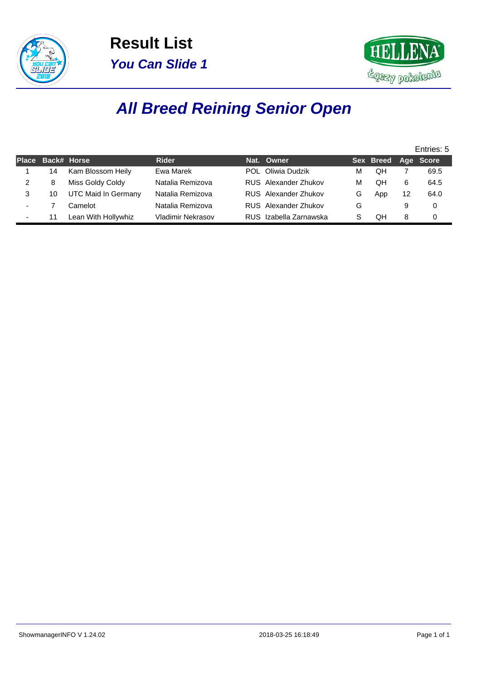



# **All Breed Reining Senior Open**

|   |                   |                     |                   |                             |   |                     |    | Entries: 5 |
|---|-------------------|---------------------|-------------------|-----------------------------|---|---------------------|----|------------|
|   | Place Back# Horse |                     | <b>Rider</b>      | Nat. Owner                  |   | Sex Breed Age Score |    |            |
|   | 14                | Kam Blossom Heily   | Ewa Marek         | POL Oliwia Dudzik           | M | OΗ                  |    | 69.5       |
|   | 8                 | Miss Goldy Coldy    | Natalia Remizova  | RUS Alexander Zhukov        | M | QΗ                  | 6  | 64.5       |
| 3 | 10                | UTC Maid In Germany | Natalia Remizova  | RUS Alexander Zhukov        | G | App                 | 12 | 64.0       |
|   |                   | Camelot             | Natalia Remizova  | <b>RUS</b> Alexander Zhukov | G |                     | 9  | 0          |
|   | 11                | Lean With Hollywhiz | Vladimir Nekrasov | RUS Izabella Zarnawska      |   | OН                  | 8  | $\Omega$   |